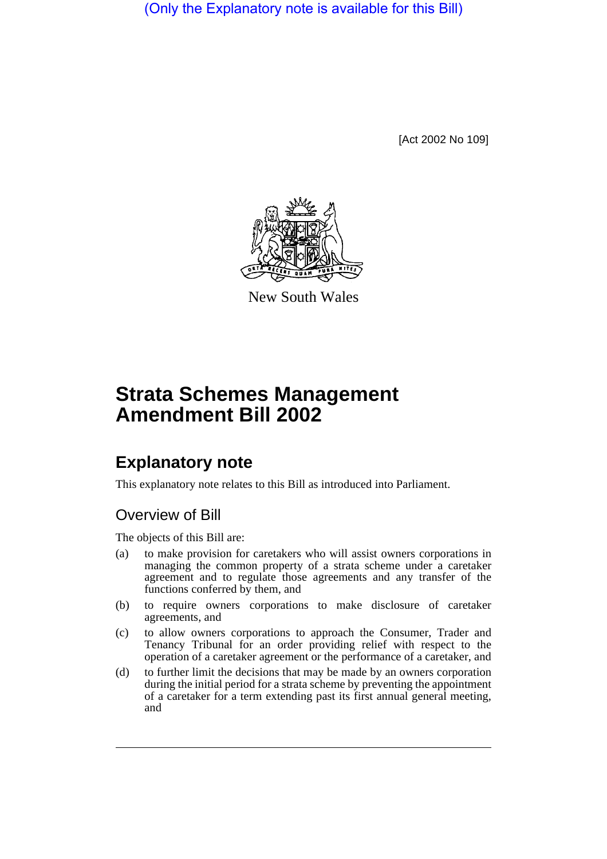(Only the Explanatory note is available for this Bill)

[Act 2002 No 109]



New South Wales

# **Strata Schemes Management Amendment Bill 2002**

## **Explanatory note**

This explanatory note relates to this Bill as introduced into Parliament.

## Overview of Bill

The objects of this Bill are:

- (a) to make provision for caretakers who will assist owners corporations in managing the common property of a strata scheme under a caretaker agreement and to regulate those agreements and any transfer of the functions conferred by them, and
- (b) to require owners corporations to make disclosure of caretaker agreements, and
- (c) to allow owners corporations to approach the Consumer, Trader and Tenancy Tribunal for an order providing relief with respect to the operation of a caretaker agreement or the performance of a caretaker, and
- (d) to further limit the decisions that may be made by an owners corporation during the initial period for a strata scheme by preventing the appointment of a caretaker for a term extending past its first annual general meeting, and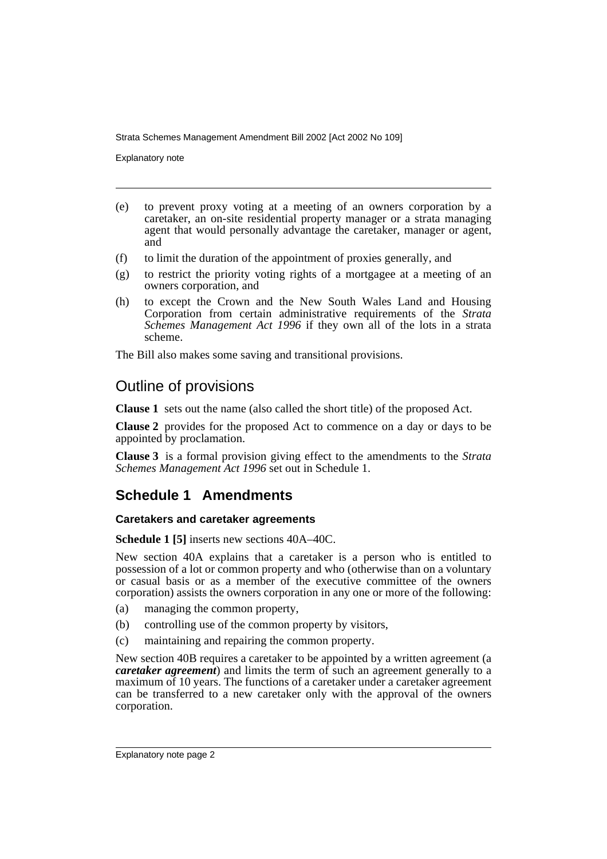Explanatory note

- (e) to prevent proxy voting at a meeting of an owners corporation by a caretaker, an on-site residential property manager or a strata managing agent that would personally advantage the caretaker, manager or agent, and
- (f) to limit the duration of the appointment of proxies generally, and
- (g) to restrict the priority voting rights of a mortgagee at a meeting of an owners corporation, and
- (h) to except the Crown and the New South Wales Land and Housing Corporation from certain administrative requirements of the *Strata Schemes Management Act 1996* if they own all of the lots in a strata scheme.

The Bill also makes some saving and transitional provisions.

### Outline of provisions

**Clause 1** sets out the name (also called the short title) of the proposed Act.

**Clause 2** provides for the proposed Act to commence on a day or days to be appointed by proclamation.

**Clause 3** is a formal provision giving effect to the amendments to the *Strata Schemes Management Act 1996* set out in Schedule 1.

## **Schedule 1 Amendments**

#### **Caretakers and caretaker agreements**

**Schedule 1 [5]** inserts new sections 40A–40C.

New section 40A explains that a caretaker is a person who is entitled to possession of a lot or common property and who (otherwise than on a voluntary or casual basis or as a member of the executive committee of the owners corporation) assists the owners corporation in any one or more of the following:

- (a) managing the common property,
- (b) controlling use of the common property by visitors,
- (c) maintaining and repairing the common property.

New section 40B requires a caretaker to be appointed by a written agreement (a *caretaker agreement*) and limits the term of such an agreement generally to a maximum of 10 years. The functions of a caretaker under a caretaker agreement can be transferred to a new caretaker only with the approval of the owners corporation.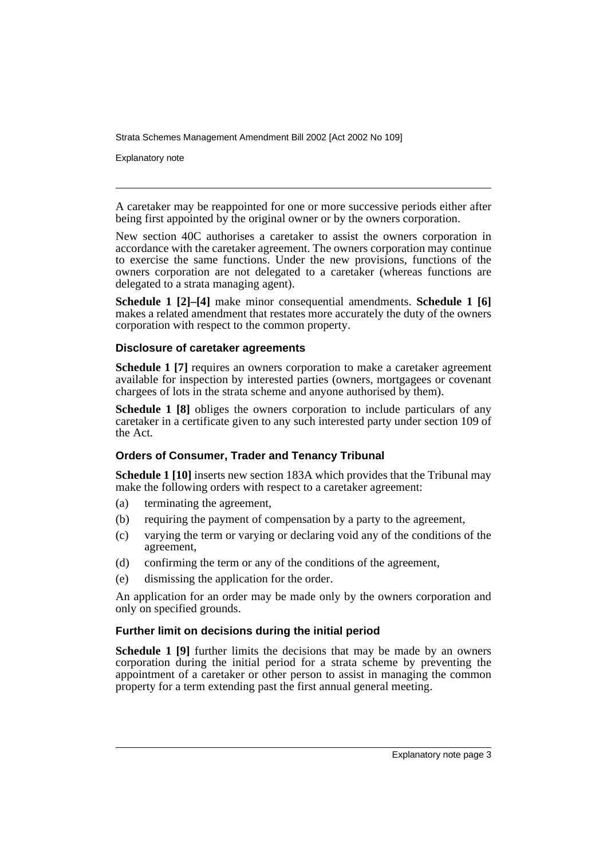Explanatory note

A caretaker may be reappointed for one or more successive periods either after being first appointed by the original owner or by the owners corporation.

New section 40C authorises a caretaker to assist the owners corporation in accordance with the caretaker agreement. The owners corporation may continue to exercise the same functions. Under the new provisions, functions of the owners corporation are not delegated to a caretaker (whereas functions are delegated to a strata managing agent).

**Schedule 1 [2]–[4]** make minor consequential amendments. **Schedule 1 [6]** makes a related amendment that restates more accurately the duty of the owners corporation with respect to the common property.

#### **Disclosure of caretaker agreements**

**Schedule 1 [7]** requires an owners corporation to make a caretaker agreement available for inspection by interested parties (owners, mortgagees or covenant chargees of lots in the strata scheme and anyone authorised by them).

**Schedule 1 [8]** obliges the owners corporation to include particulars of any caretaker in a certificate given to any such interested party under section 109 of the Act.

#### **Orders of Consumer, Trader and Tenancy Tribunal**

**Schedule 1 [10]** inserts new section 183A which provides that the Tribunal may make the following orders with respect to a caretaker agreement:

- (a) terminating the agreement,
- (b) requiring the payment of compensation by a party to the agreement,
- (c) varying the term or varying or declaring void any of the conditions of the agreement,
- (d) confirming the term or any of the conditions of the agreement,
- (e) dismissing the application for the order.

An application for an order may be made only by the owners corporation and only on specified grounds.

#### **Further limit on decisions during the initial period**

**Schedule 1 [9]** further limits the decisions that may be made by an owners corporation during the initial period for a strata scheme by preventing the appointment of a caretaker or other person to assist in managing the common property for a term extending past the first annual general meeting.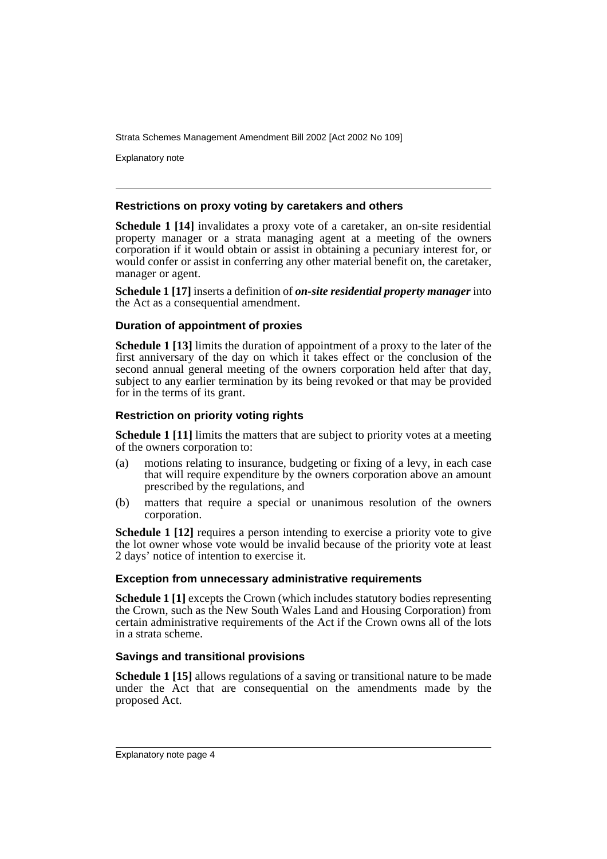Explanatory note

#### **Restrictions on proxy voting by caretakers and others**

**Schedule 1 [14]** invalidates a proxy vote of a caretaker, an on-site residential property manager or a strata managing agent at a meeting of the owners corporation if it would obtain or assist in obtaining a pecuniary interest for, or would confer or assist in conferring any other material benefit on, the caretaker, manager or agent.

**Schedule 1 [17]** inserts a definition of *on-site residential property manager* into the Act as a consequential amendment.

#### **Duration of appointment of proxies**

**Schedule 1 [13]** limits the duration of appointment of a proxy to the later of the first anniversary of the day on which it takes effect or the conclusion of the second annual general meeting of the owners corporation held after that day, subject to any earlier termination by its being revoked or that may be provided for in the terms of its grant.

#### **Restriction on priority voting rights**

**Schedule 1 [11]** limits the matters that are subject to priority votes at a meeting of the owners corporation to:

- (a) motions relating to insurance, budgeting or fixing of a levy, in each case that will require expenditure by the owners corporation above an amount prescribed by the regulations, and
- (b) matters that require a special or unanimous resolution of the owners corporation.

**Schedule 1 [12]** requires a person intending to exercise a priority vote to give the lot owner whose vote would be invalid because of the priority vote at least 2 days' notice of intention to exercise it.

#### **Exception from unnecessary administrative requirements**

**Schedule 1** [1] excepts the Crown (which includes statutory bodies representing the Crown, such as the New South Wales Land and Housing Corporation) from certain administrative requirements of the Act if the Crown owns all of the lots in a strata scheme.

#### **Savings and transitional provisions**

**Schedule 1 [15]** allows regulations of a saving or transitional nature to be made under the Act that are consequential on the amendments made by the proposed Act.